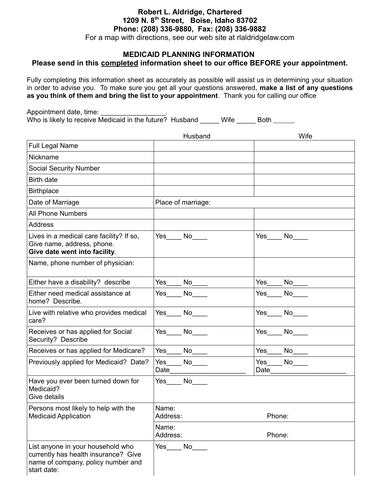# **Robert L. Aldridge, Chartered 1209 N. 8th Street, Boise, Idaho 83702 Phone: (208) 336-9880, Fax: (208) 336-9882**

For a map with directions, see our web site at rlaldridgelaw.com

## **MEDICAID PLANNING INFORMATION Please send in this completed information sheet to our office BEFORE your appointment.**

Fully completing this information sheet as accurately as possible will assist us in determining your situation in order to advise you. To make sure you get all your questions answered, **make a list of any questions as you think of them and bring the list to your appointment**. Thank you for calling our office

Appointment date, time: Who is likely to receive Medicaid in the future? Husband \_\_\_\_\_ Wife \_\_\_\_\_ Both \_\_\_\_\_

|                                                                                                                                | Husband                                                                                                                                                                                                                               | Wife                                                                                                                                                                                                                                  |
|--------------------------------------------------------------------------------------------------------------------------------|---------------------------------------------------------------------------------------------------------------------------------------------------------------------------------------------------------------------------------------|---------------------------------------------------------------------------------------------------------------------------------------------------------------------------------------------------------------------------------------|
| <b>Full Legal Name</b>                                                                                                         |                                                                                                                                                                                                                                       |                                                                                                                                                                                                                                       |
| Nickname                                                                                                                       |                                                                                                                                                                                                                                       |                                                                                                                                                                                                                                       |
| <b>Social Security Number</b>                                                                                                  |                                                                                                                                                                                                                                       |                                                                                                                                                                                                                                       |
| Birth date                                                                                                                     |                                                                                                                                                                                                                                       |                                                                                                                                                                                                                                       |
| <b>Birthplace</b>                                                                                                              |                                                                                                                                                                                                                                       |                                                                                                                                                                                                                                       |
| Date of Marriage                                                                                                               | Place of marriage:                                                                                                                                                                                                                    |                                                                                                                                                                                                                                       |
| <b>All Phone Numbers</b>                                                                                                       |                                                                                                                                                                                                                                       |                                                                                                                                                                                                                                       |
| <b>Address</b>                                                                                                                 |                                                                                                                                                                                                                                       |                                                                                                                                                                                                                                       |
| Lives in a medical care facility? If so,<br>Give name, address, phone.<br>Give date went into facility.                        | Yes No                                                                                                                                                                                                                                | Yes<br>No                                                                                                                                                                                                                             |
| Name, phone number of physician:                                                                                               |                                                                                                                                                                                                                                       |                                                                                                                                                                                                                                       |
| Either have a disability? describe                                                                                             | Yes<br>No                                                                                                                                                                                                                             | Yes<br>$No$ <sub>___</sub>                                                                                                                                                                                                            |
| Either need medical assistance at<br>home? Describe.                                                                           | No l<br>Yes                                                                                                                                                                                                                           | No results and the New York of the New York of the New York of the New York of the New York of the New York of the New York of the New York of the New York of the New York of the New York of the New York of the New York of<br>Yes |
| Live with relative who provides medical<br>care?                                                                               | No results and the New York of the New York of the New York of the New York of the New York of the New York of the New York of the New York of the New York of the New York of the New York of the New York of the New York of<br>Yes | Yes<br>No l                                                                                                                                                                                                                           |
| Receives or has applied for Social<br>Security? Describe                                                                       | Yes No                                                                                                                                                                                                                                | No results and the New York of the New York of the New York of the New York of the New York of the New York of the New York of the New York of the New York of the New York of the New York of the New York of the New York of<br>Yes |
| Receives or has applied for Medicare?                                                                                          | No                                                                                                                                                                                                                                    | Yes<br>$No$ <sub>___</sub>                                                                                                                                                                                                            |
| Previously applied for Medicaid? Date?                                                                                         | Yes<br>No<br>Date                                                                                                                                                                                                                     | Yes<br>No<br>Date                                                                                                                                                                                                                     |
| Have you ever been turned down for<br>Medicaid?<br>Give details                                                                | Yes No                                                                                                                                                                                                                                |                                                                                                                                                                                                                                       |
| Persons most likely to help with the<br><b>Medicaid Application</b>                                                            | Name:<br>Address:                                                                                                                                                                                                                     | Phone:                                                                                                                                                                                                                                |
|                                                                                                                                | Name:<br>Address:                                                                                                                                                                                                                     | Phone:                                                                                                                                                                                                                                |
| List anyone in your household who<br>currently has health insurance? Give<br>name of company, policy number and<br>start date: | Yes No                                                                                                                                                                                                                                |                                                                                                                                                                                                                                       |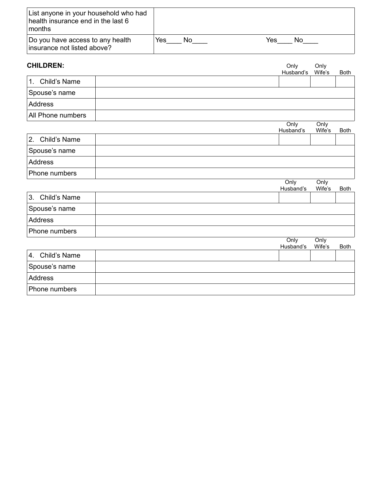| List anyone in your household who had<br>health insurance end in the last 6<br>∣months |     |    |     |    |
|----------------------------------------------------------------------------------------|-----|----|-----|----|
| Do you have access to any health<br>insurance not listed above?                        | Yes | No | Yes | Nο |

| <b>CHILDREN:</b>   | Only<br>Husband's | Only<br>Wife's | <b>Both</b> |
|--------------------|-------------------|----------------|-------------|
| Child's Name<br>1. |                   |                |             |
| Spouse's name      |                   |                |             |
| Address            |                   |                |             |
| All Phone numbers  |                   |                |             |
|                    | Only<br>Husband's | Only<br>Wife's | <b>Both</b> |
| 2.<br>Child's Name |                   |                |             |
| Spouse's name      |                   |                |             |
| <b>Address</b>     |                   |                |             |
| Phone numbers      |                   |                |             |
|                    | Only<br>Husband's | Only<br>Wife's | <b>Both</b> |
| 3.<br>Child's Name |                   |                |             |
| Spouse's name      |                   |                |             |
| <b>Address</b>     |                   |                |             |
| Phone numbers      |                   |                |             |
|                    | Only<br>Husband's | Only<br>Wife's | <b>Both</b> |
| Child's Name<br>4. |                   |                |             |
| Spouse's name      |                   |                |             |
| <b>Address</b>     |                   |                |             |
| Phone numbers      |                   |                |             |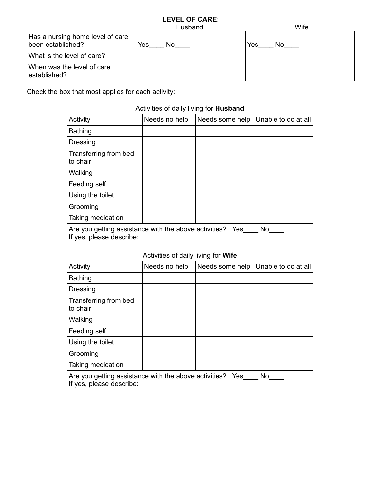### **LEVEL OF CARE:** Husband Wife

| Has a nursing home level of care<br>been established? | Yes<br>No | Yes<br>No |
|-------------------------------------------------------|-----------|-----------|
| What is the level of care?                            |           |           |
| When was the level of care<br>established?            |           |           |

Check the box that most applies for each activity:

| Activities of daily living for <b>Husband</b>                                                |               |                 |                     |  |  |  |
|----------------------------------------------------------------------------------------------|---------------|-----------------|---------------------|--|--|--|
| Activity                                                                                     | Needs no help | Needs some help | Unable to do at all |  |  |  |
| <b>Bathing</b>                                                                               |               |                 |                     |  |  |  |
| Dressing                                                                                     |               |                 |                     |  |  |  |
| Transferring from bed<br>to chair                                                            |               |                 |                     |  |  |  |
| Walking                                                                                      |               |                 |                     |  |  |  |
| Feeding self                                                                                 |               |                 |                     |  |  |  |
| Using the toilet                                                                             |               |                 |                     |  |  |  |
| Grooming                                                                                     |               |                 |                     |  |  |  |
| Taking medication                                                                            |               |                 |                     |  |  |  |
| Are you getting assistance with the above activities? Yes<br>No.<br>If yes, please describe: |               |                 |                     |  |  |  |

| Activities of daily living for Wife                                                         |               |                 |                     |  |  |
|---------------------------------------------------------------------------------------------|---------------|-----------------|---------------------|--|--|
| Activity                                                                                    | Needs no help | Needs some help | Unable to do at all |  |  |
| <b>Bathing</b>                                                                              |               |                 |                     |  |  |
| Dressing                                                                                    |               |                 |                     |  |  |
| Transferring from bed<br>to chair                                                           |               |                 |                     |  |  |
| Walking                                                                                     |               |                 |                     |  |  |
| Feeding self                                                                                |               |                 |                     |  |  |
| Using the toilet                                                                            |               |                 |                     |  |  |
| Grooming                                                                                    |               |                 |                     |  |  |
| Taking medication                                                                           |               |                 |                     |  |  |
| Are you getting assistance with the above activities? Yes<br>No<br>If yes, please describe: |               |                 |                     |  |  |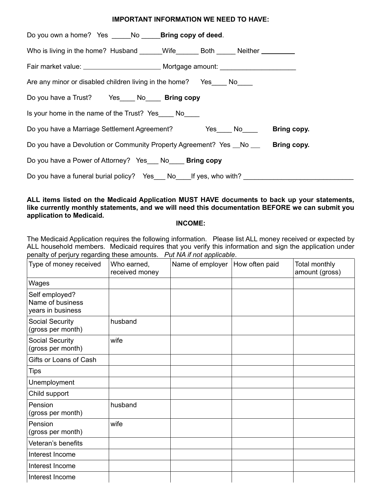### **IMPORTANT INFORMATION WE NEED TO HAVE:**

| Do you own a home? Yes ______ No _____ <b>Bring copy of deed</b> .                |  |
|-----------------------------------------------------------------------------------|--|
| Who is living in the home? Husband _____Wife______Both _____Neither ___________   |  |
|                                                                                   |  |
| Are any minor or disabled children living in the home? Yes_____ No____            |  |
| Do you have a Trust? Yes _____ No_____ Bring copy                                 |  |
| Is your home in the name of the Trust? Yes No                                     |  |
| Do you have a Marriage Settlement Agreement? No No Bring copy.                    |  |
| Do you have a Devolution or Community Property Agreement? Yes _No __ Bring copy.  |  |
| Do you have a Power of Attorney? Yes No Bring copy                                |  |
| Do you have a funeral burial policy? Yes___ No____If yes, who with? _____________ |  |

## **ALL items listed on the Medicaid Application MUST HAVE documents to back up your statements, like currently monthly statements, and we will need this documentation BEFORE we can submit you application to Medicaid.**

### **INCOME:**

The Medicaid Application requires the following information. Please list ALL money received or expected by ALL household members. Medicaid requires that you verify this information and sign the application under penalty of perjury regarding these amounts. *Put NA if not applicable*.

| Type of money received                                  | Who earned,<br>received money | Name of employer | How often paid | Total monthly<br>amount (gross) |
|---------------------------------------------------------|-------------------------------|------------------|----------------|---------------------------------|
| Wages                                                   |                               |                  |                |                                 |
| Self employed?<br>Name of business<br>years in business |                               |                  |                |                                 |
| <b>Social Security</b><br>(gross per month)             | husband                       |                  |                |                                 |
| Social Security<br>(gross per month)                    | wife                          |                  |                |                                 |
| Gifts or Loans of Cash                                  |                               |                  |                |                                 |
| <b>Tips</b>                                             |                               |                  |                |                                 |
| Unemployment                                            |                               |                  |                |                                 |
| Child support                                           |                               |                  |                |                                 |
| Pension<br>(gross per month)                            | husband                       |                  |                |                                 |
| Pension<br>(gross per month)                            | wife                          |                  |                |                                 |
| Veteran's benefits                                      |                               |                  |                |                                 |
| Interest Income                                         |                               |                  |                |                                 |
| Interest Income                                         |                               |                  |                |                                 |
| Interest Income                                         |                               |                  |                |                                 |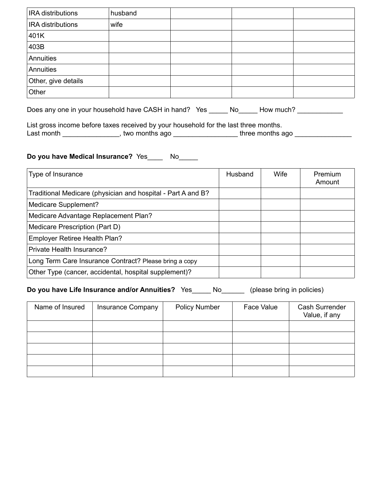| <b>IRA</b> distributions | husband |  |  |
|--------------------------|---------|--|--|
| <b>IRA</b> distributions | wife    |  |  |
| 401K                     |         |  |  |
| 403B                     |         |  |  |
| Annuities                |         |  |  |
| Annuities                |         |  |  |
| Other, give details      |         |  |  |
| Other                    |         |  |  |

Does any one in your household have CASH in hand? Yes \_\_\_\_\_ No\_\_\_\_\_ How much? \_\_\_\_\_\_\_\_\_

List gross income before taxes received by your household for the last three months. Last month \_\_\_\_\_\_\_\_\_\_\_\_\_\_\_\_, two months ago \_\_\_\_\_\_\_\_\_\_\_\_\_\_\_\_\_\_\_three months ago \_\_\_\_\_\_\_\_\_\_\_\_\_\_\_\_\_\_\_

# **Do you have Medical Insurance?** Yes\_\_\_\_ No\_\_\_\_\_

| Type of Insurance                                            | Husband | Wife | Premium<br>Amount |
|--------------------------------------------------------------|---------|------|-------------------|
| Traditional Medicare (physician and hospital - Part A and B? |         |      |                   |
| Medicare Supplement?                                         |         |      |                   |
| Medicare Advantage Replacement Plan?                         |         |      |                   |
| Medicare Prescription (Part D)                               |         |      |                   |
| Employer Retiree Health Plan?                                |         |      |                   |
| Private Health Insurance?                                    |         |      |                   |
| Long Term Care Insurance Contract? Please bring a copy       |         |      |                   |
| Other Type (cancer, accidental, hospital supplement)?        |         |      |                   |

**Do you have Life Insurance and/or Annuities?** Yes\_\_\_\_\_ No\_\_\_\_\_\_ (please bring in policies)

| Name of Insured | <b>Insurance Company</b> | <b>Policy Number</b> | Face Value | Cash Surrender<br>Value, if any |
|-----------------|--------------------------|----------------------|------------|---------------------------------|
|                 |                          |                      |            |                                 |
|                 |                          |                      |            |                                 |
|                 |                          |                      |            |                                 |
|                 |                          |                      |            |                                 |
|                 |                          |                      |            |                                 |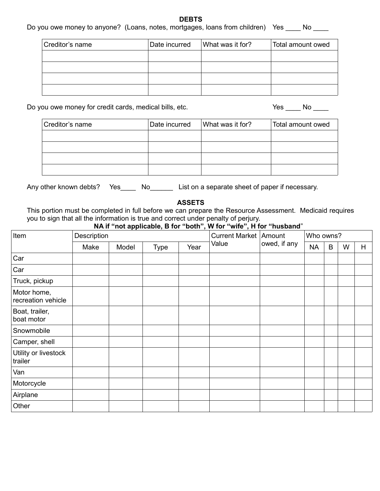#### **DEBTS**

# Do you owe money to anyone? (Loans, notes, mortgages, loans from children) Yes \_\_\_\_ No \_\_\_\_

| Creditor's name | Date incurred | What was it for? | Total amount owed |
|-----------------|---------------|------------------|-------------------|
|                 |               |                  |                   |
|                 |               |                  |                   |
|                 |               |                  |                   |
|                 |               |                  |                   |

Do you owe money for credit cards, medical bills, etc. Yes \_\_\_\_ No \_\_\_\_

| Creditor's name | Date incurred | What was it for? | Total amount owed |
|-----------------|---------------|------------------|-------------------|
|                 |               |                  |                   |
|                 |               |                  |                   |
|                 |               |                  |                   |
|                 |               |                  |                   |

Any other known debts? Yes\_\_\_\_\_ No\_\_\_\_\_\_\_ List on a separate sheet of paper if necessary.

**ASSETS**

This portion must be completed in full before we can prepare the Resource Assessment. Medicaid requires you to sign that all the information is true and correct under penalty of perjury.

# **NA if "not applicable, B for "both", W for "wife", H for "husband**"

| Item                              | Description |       |             | <b>Current Market   Amount</b> |       | Who owns?    |           |   |   |   |
|-----------------------------------|-------------|-------|-------------|--------------------------------|-------|--------------|-----------|---|---|---|
|                                   | Make        | Model | <b>Type</b> | Year                           | Value | owed, if any | <b>NA</b> | B | W | H |
| Car                               |             |       |             |                                |       |              |           |   |   |   |
| Car                               |             |       |             |                                |       |              |           |   |   |   |
| Truck, pickup                     |             |       |             |                                |       |              |           |   |   |   |
| Motor home,<br>recreation vehicle |             |       |             |                                |       |              |           |   |   |   |
| Boat, trailer,<br>boat motor      |             |       |             |                                |       |              |           |   |   |   |
| Snowmobile                        |             |       |             |                                |       |              |           |   |   |   |
| Camper, shell                     |             |       |             |                                |       |              |           |   |   |   |
| Utility or livestock<br>trailer   |             |       |             |                                |       |              |           |   |   |   |
| Van                               |             |       |             |                                |       |              |           |   |   |   |
| Motorcycle                        |             |       |             |                                |       |              |           |   |   |   |
| Airplane                          |             |       |             |                                |       |              |           |   |   |   |
| Other                             |             |       |             |                                |       |              |           |   |   |   |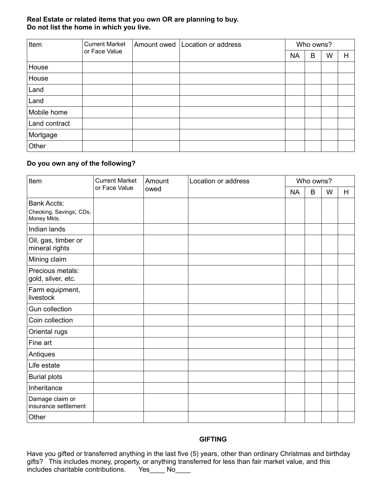## **Real Estate or related items that you own OR are planning to buy. Do not list the home in which you live.**

| Item          | <b>Current Market</b> | Amount owed | Location or address | Who owns? |   |   |   |  |
|---------------|-----------------------|-------------|---------------------|-----------|---|---|---|--|
|               | or Face Value         |             |                     | <b>NA</b> | B | W | H |  |
| House         |                       |             |                     |           |   |   |   |  |
| House         |                       |             |                     |           |   |   |   |  |
| Land          |                       |             |                     |           |   |   |   |  |
| Land          |                       |             |                     |           |   |   |   |  |
| Mobile home   |                       |             |                     |           |   |   |   |  |
| Land contract |                       |             |                     |           |   |   |   |  |
| Mortgage      |                       |             |                     |           |   |   |   |  |
| Other         |                       |             |                     |           |   |   |   |  |

## **Do you own any of the following?**

| Item                                                         | <b>Current Market</b> | Amount | Location or address |           | Who owns? |   |   |  |
|--------------------------------------------------------------|-----------------------|--------|---------------------|-----------|-----------|---|---|--|
|                                                              | or Face Value         | owed   |                     | <b>NA</b> | B         | W | H |  |
| <b>Bank Accts:</b><br>Checking, Savings; CDs,<br>Money Mkts. |                       |        |                     |           |           |   |   |  |
| Indian lands                                                 |                       |        |                     |           |           |   |   |  |
| Oil, gas, timber or<br>mineral rights                        |                       |        |                     |           |           |   |   |  |
| Mining claim                                                 |                       |        |                     |           |           |   |   |  |
| Precious metals:<br>gold, silver, etc.                       |                       |        |                     |           |           |   |   |  |
| Farm equipment,<br>livestock                                 |                       |        |                     |           |           |   |   |  |
| Gun collection                                               |                       |        |                     |           |           |   |   |  |
| Coin collection                                              |                       |        |                     |           |           |   |   |  |
| Oriental rugs                                                |                       |        |                     |           |           |   |   |  |
| Fine art                                                     |                       |        |                     |           |           |   |   |  |
| Antiques                                                     |                       |        |                     |           |           |   |   |  |
| Life estate                                                  |                       |        |                     |           |           |   |   |  |
| <b>Burial plots</b>                                          |                       |        |                     |           |           |   |   |  |
| Inheritance                                                  |                       |        |                     |           |           |   |   |  |
| Damage claim or<br>insurance settlement                      |                       |        |                     |           |           |   |   |  |
| Other                                                        |                       |        |                     |           |           |   |   |  |

### **GIFTING**

Have you gifted or transferred anything in the last five (5) years, other than ordinary Christmas and birthday gifts? This includes money, property, or anything transferred for less than fair market value, and this includes charitable contributions. Yes\_\_\_\_ No\_\_\_\_